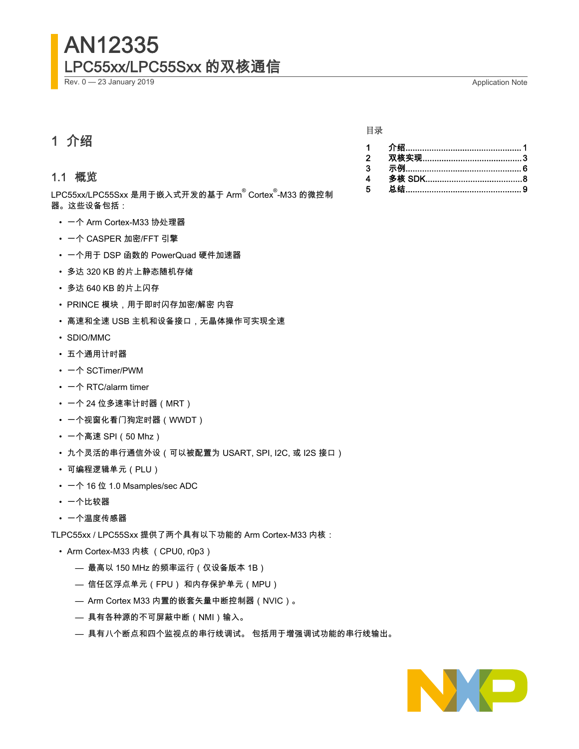# AN12335 LPC55xx/LPC55Sxx 的双核通信

Rev. 0 — 23 January 2019 Application Note

### 1 介绍

#### 1.1 概览

LPC55xx/LPC55Sxx 是用于嵌入式开发的基于 Arm<sup>®</sup> Cortex<sup>®</sup>-M33 的微控制 器。这些设备包括:

- 一个 Arm Cortex-M33 协处理器
- 一个 CASPER 加密/FFT 引擎
- 一个用于 DSP 函数的 PowerQuad 硬件加速器
- 多达 320 KB 的片上静态随机存储
- 多达 640 KB 的片上闪存
- PRINCE 模块,用于即时闪存加密/解密 内容
- 高速和全速 USB 主机和设备接口,无晶体操作可实现全速
- SDIO/MMC
- 五个通用计时器
- 一个 SCTimer/PWM
- $-\hat{\wedge}$  RTC/alarm timer
- 一个 24 位多速率计时器(MRT)
- 一个视窗化看门狗定时器(WWDT)
- 一个高速 SPI(50 Mhz)
- 九个灵活的串行通信外设(可以被配置为 USART, SPI, I2C, 或 I2S 接口)
- 可编程逻辑单元(PLU)
- 一个 16 位 1.0 Msamples/sec ADC
- 一个比较器
- 一个温度传感器

TLPC55xx / LPC55Sxx 提供了两个具有以下功能的 Arm Cortex-M33 内核:

- Arm Cortex-M33 内核 (CPU0, r0p3)
	- 最高以 150 MHz 的频率运行(仅设备版本 1B)
	- 信任区浮点单元(FPU) 和内存保护单元(MPU)
	- Arm Cortex M33 内置的嵌套矢量中断控制器(NVIC)。
	- 具有各种源的不可屏蔽中断(NMI)输入。
	- 具有八个断点和四个监视点的串行线调试。 包括用于增强调试功能的串行线输出。



#### 目录

| $\overline{2}$ |  |
|----------------|--|
| 3              |  |
| 4              |  |
| 5              |  |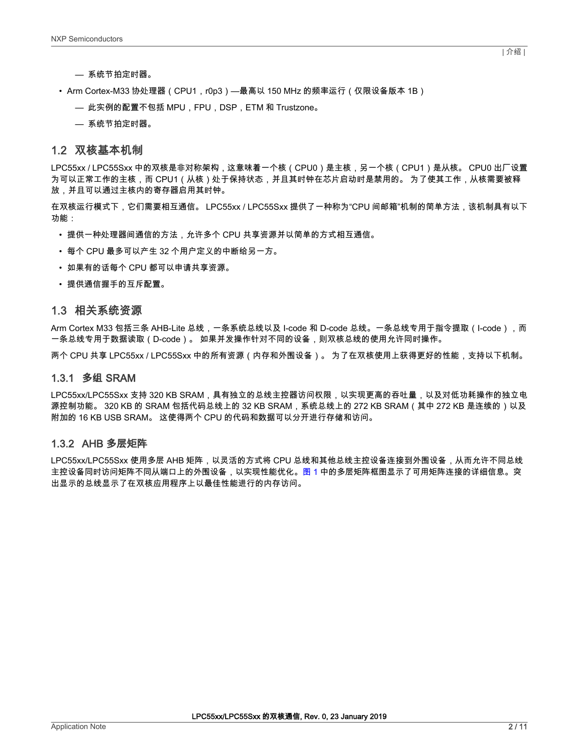- 系统节拍定时器。
- Arm Cortex-M33 协处理器(CPU1,r0p3)—最高以 150 MHz 的频率运行(仅限设备版本 1B)
	- 此实例的配置不包括 MPU,FPU,DSP,ETM 和 Trustzone。
	- 系统节拍定时器。

#### 1.2 双核基本机制

LPC55xx / LPC55Sxx 中的双核是非对称架构,这意味着一个核(CPU0)是主核,另一个核(CPU1)是从核。 CPU0 出厂设置 为可以正常工作的主核,而 CPU1(从核)处于保持状态,并且其时钟在芯片启动时是禁用的。 为了使其工作,从核需要被释 放,并且可以通过主核内的寄存器启用其时钟。

在双核运行模式下,它们需要相互通信。 LPC55xx / LPC55Sxx 提供了一种称为"CPU 间邮箱"机制的简单方法,该机制具有以下 功能:

- 提供一种处理器间通信的方法,允许多个 CPU 共享资源并以简单的方式相互通信。
- 每个 CPU 最多可以产生 32 个用户定义的中断给另一方。
- 如果有的话每个 CPU 都可以申请共享资源。
- 提供通信握手的互斥配置。

#### 1.3 相关系统资源

Arm Cortex M33 包括三条 AHB-Lite 总线,一条系统总线以及 I-code 和 D-code 总线。一条总线专用于指令提取(I-code),而 一条总线专用于数据读取(D-code)。 如果并发操作针对不同的设备,则双核总线的使用允许同时操作。

两个 CPU 共享 LPC55xx / LPC55Sxx 中的所有资源(内存和外围设备)。 为了在双核使用上获得更好的性能,支持以下机制。

#### 1.3.1 多组 SRAM

LPC55xx/LPC55Sxx 支持 320 KB SRAM,具有独立的总线主控器访问权限,以实现更高的吞吐量,以及对低功耗操作的独立电 源控制功能。 320 KB 的 SRAM 包括代码总线上的 32 KB SRAM,系统总线上的 272 KB SRAM(其中 272 KB 是连续的)以及 附加的 16 KB USB SRAM。 这使得两个 CPU 的代码和数据可以分开进行存储和访问。

#### 1.3.2 AHB 多层矩阵

LPC55xx/LPC55Sxx 使用多层 AHB 矩阵,以灵活的方式将 CPU 总线和其他总线主控设备连接到外围设备,从而允许不同总线 主控设备同时访问矩阵不同从端口上的外围设备,以实现性能优化[。图 1](#page-2-0) 中的多层矩阵框图显示了可用矩阵连接的详细信息。突 出显示的总线显示了在双核应用程序上以最佳性能进行的内存访问。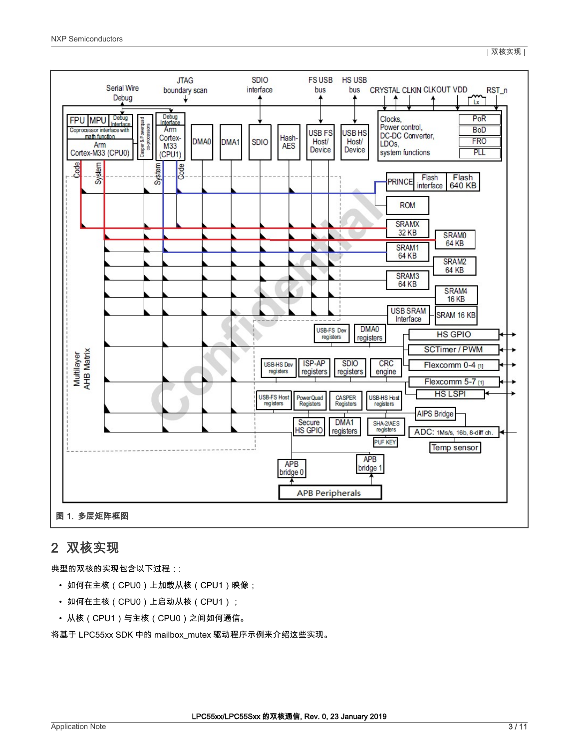

<span id="page-2-0"></span>NXP Semiconductors



### 2 双核实现

典型的双核的实现包含以下过程::

- 如何在主核(CPU0)上加载从核(CPU1)映像;
- 如何在主核(CPU0)上启动从核(CPU1);
- 从核(CPU1)与主核(CPU0)之间如何通信。

将基于 LPC55xx SDK 中的 mailbox\_mutex 驱动程序示例来介绍这些实现。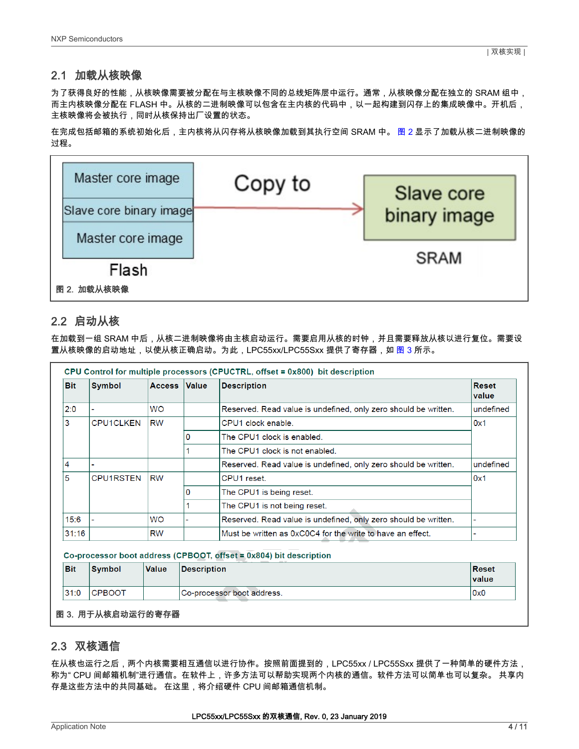#### 2.1 加载从核映像

为了获得良好的性能,从核映像需要被分配在与主核映像不同的总线矩阵层中运行。通常,从核映像分配在独立的 SRAM 组中, 而主内核映像分配在 FLASH 中。从核的二进制映像可以包含在主内核的代码中,以一起构建到闪存上的集成映像中。开机后, 主核映像将会被执行,同时从核保持出厂设置的状态。

在完成包括邮箱的系统初始化后,主内核将从闪存将从核映像加载到其执行空间 SRAM 中。 图 2 显示了加载从核二进制映像的 过程。



### 2.2 启动从核

在加载到一组 SRAM 中后,从核二进制映像将由主核启动运行。需要启用从核的时钟,并且需要释放从核以进行复位。需要设 置从核映像的启动地址,以使从核正确启动。为此,LPC55xx/LPC55Sxx 提供了寄存器,如 图 3 所示。

|            |                  |               |       | CPU Control for multiple processors (CPUCTRL, offset = 0x800) bit description |                       |
|------------|------------------|---------------|-------|-------------------------------------------------------------------------------|-----------------------|
| <b>Bit</b> | <b>Symbol</b>    | <b>Access</b> | Value | <b>Description</b>                                                            | <b>Reset</b><br>value |
| 2:0        |                  | <b>WO</b>     |       | Reserved. Read value is undefined, only zero should be written.               | undefined             |
| 3          | <b>CPU1CLKEN</b> | <b>RW</b>     |       | CPU1 clock enable.                                                            | 0x1                   |
|            |                  |               |       | The CPU1 clock is enabled.                                                    |                       |
|            |                  |               |       | The CPU1 clock is not enabled.                                                |                       |
| 4          |                  |               |       | Reserved. Read value is undefined, only zero should be written.               | undefined             |
| 5          | <b>CPU1RSTEN</b> | <b>RW</b>     |       | CPU1 reset.                                                                   | 0x1                   |
|            |                  |               | O     | The CPU1 is being reset.                                                      |                       |
|            |                  |               |       | The CPU1 is not being reset.                                                  |                       |
| 15:6       |                  | <b>WO</b>     |       | Reserved. Read value is undefined, only zero should be written.               |                       |
| 31:16      |                  | <b>RW</b>     |       | Must be written as 0xC0C4 for the write to have an effect.                    |                       |

Co-processor boot address (CPBOOT, offset = 0x804) bit description

| <b>Bit</b> | <b>Symbol</b> | <b>Value</b> | <b>Description</b>          | Reset<br><i>value</i> |
|------------|---------------|--------------|-----------------------------|-----------------------|
| 31:0       | <b>CPBOOT</b> |              | ICo-processor boot address. | 0x0                   |

#### 图 3. 用于从核启动运行的寄存器

#### 2.3 双核通信

在从核也运行之后,两个内核需要相互通信以进行协作。按照前面提到的,LPC55xx / LPC55Sxx 提供了一种简单的硬件方法, 称为" CPU 间邮箱机制"进行通信。在软件上,许多方法可以帮助实现两个内核的通信。软件方法可以简单也可以复杂。 共享内 存是这些方法中的共同基础。 在这里,将介绍硬件 CPU 间邮箱通信机制。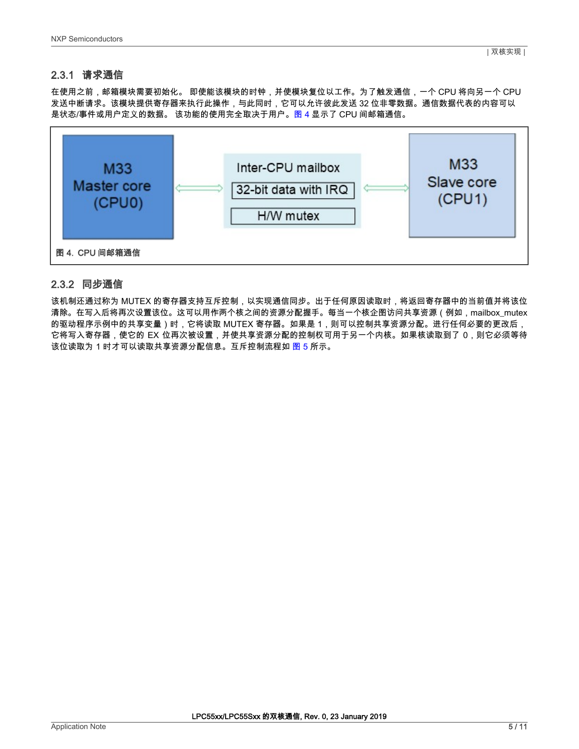### 2.3.1 请求通信

在使用之前,邮箱模块需要初始化。 即使能该模块的时钟,并使模块复位以工作。为了触发通信,一个 CPU 将向另一个 CPU 发送中断请求。该模块提供寄存器来执行此操作,与此同时,它可以允许彼此发送 32 位非零数据。通信数据代表的内容可以 是状态/事件或用户定义的数据。 该功能的使用完全取决于用户。图 4 显示了 CPU 间邮箱通信。



#### 2.3.2 同步通信

该机制还通过称为 MUTEX 的寄存器支持互斥控制,以实现通信同步。出于任何原因读取时,将返回寄存器中的当前值并将该位 清除。在写入后将再次设置该位。这可以用作两个核之间的资源分配握手。每当一个核企图访问共享资源(例如,mailbox\_mutex 的驱动程序示例中的共享变量)时,它将读取 MUTEX 寄存器。如果是 1,则可以控制共享资源分配。进行任何必要的更改后, 它将写入寄存器,使它的 EX 位再次被设置,并使共享资源分配的控制权可用于另一个内核。如果核读取到了 0,则它必须等待 该位读取为 1 时才可以读取共享资源分配信息。互斥控制流程如 <mark>图 5</mark> 所示。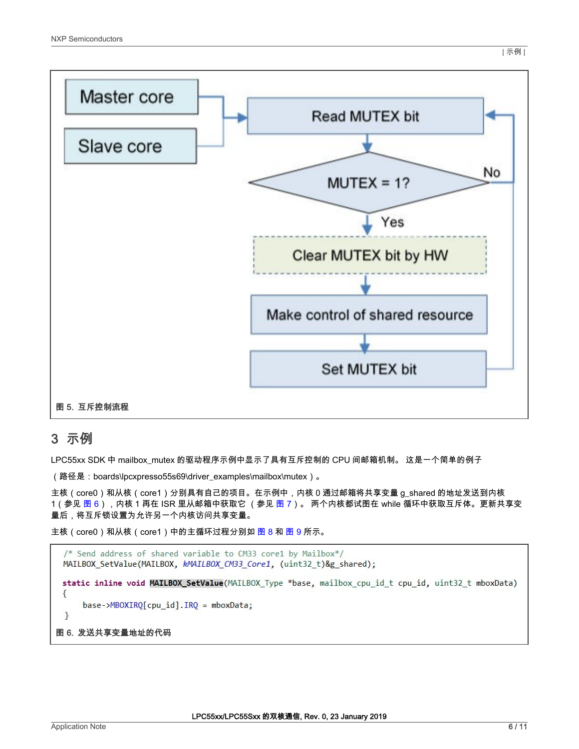<span id="page-5-0"></span>

## 3 示例

LPC55xx SDK 中 mailbox\_mutex 的驱动程序示例中显示了具有互斥控制的 CPU 间邮箱机制。 这是一个简单的例子

(路径是:boards\lpcxpresso55s69\driver\_examples\mailbox\mutex)。

主核(core0)和从核(core1)分别具有自己的项目。在示例中,内核 0 通过邮箱将共享变量 g\_shared 的地址发送到内核 1(参见 图 6),内核 1 再在 ISR 里从邮箱中获取它 (参见 [图 7](#page-6-0))。 两个内核都试图在 while 循环中获取互斥体。更新共享变 量后,将互斥锁设置为允许另一个内核访问共享变量。

主核(core0)和从核(core1)中的主循环过程分别如 [图 8](#page-6-0) 和 [图 9](#page-6-0) 所示。

```
/* Send address of shared variable to CM33 core1 by Mailbox*/
 MAILBOX_SetValue(MAILBOX, kMAILBOX_CM33_Core1, (uint32_t)&g_shared);
 static inline void MAILBOX_SetValue(MAILBOX_Type *base, mailbox_cpu_id_t cpu_id, uint32_t mboxData)
 €
     base->MBOXIRQ[cpu_id].IRQ = mboxData;
 \mathcal{E}图 6. 发送共享变量地址的代码
```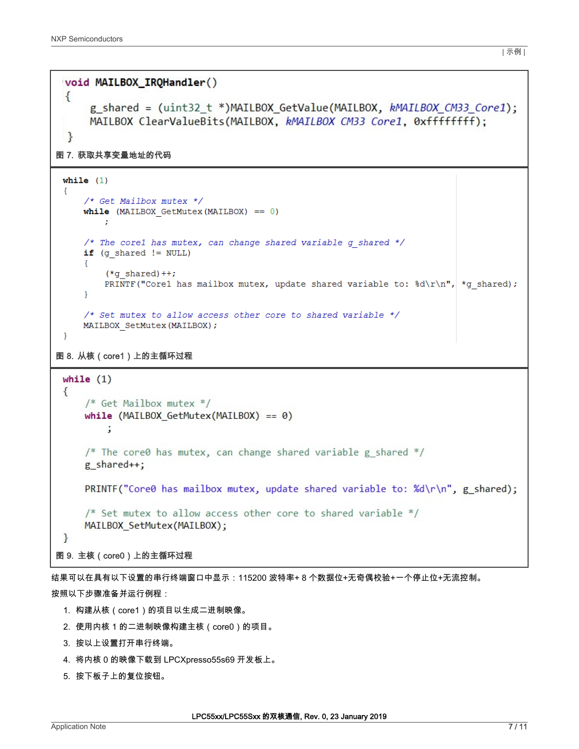```
void MAILBOX_IRQHandler()
 \{g_shared = (uint32 t *)MAILBOX GetValue(MAILBOX, kMAILBOX CM33 Core1);
      MAILBOX ClearValueBits(MAILBOX, kMAILBOX CM33 Core1, 0xffffffff;);
  ł
图 7. 获取共享变量地址的代码
 while (1)Ŧ.
     /* Get Mailbox mutex */
     while (MAILBOX GetMutex (MAILBOX) == 0)
         ÷
     /* The corel has mutex, can change shared variable q shared */
     if (g \text{ shared} != NULL)Ŧ.
         (*g shared)++;PRINTF("Corel has mailbox mutex, update shared variable to: d\r\ln r, *g shared);
     J.
     /* Set mutex to allow access other core to shared variable */
     MAILBOX SetMutex (MAILBOX) ;
 \mathcal{F}图 8. 从核(core1)上的主循环过程
 while (1)€
     /* Get Mailbox mutex */while (MAILBOX GetMutex(MAILBOX) == \theta)
         ÷
     /* The core0 has mutex, can change shared variable g shared */
     g shared++;
     PRINTF("Core0 has mailbox mutex, update shared variable to: %d\r\n", g shared);
     /* Set mutex to allow access other core to shared variable */MAILBOX SetMutex(MAILBOX);
 <sup>}</sup>
图 9. 主核(core0)上的主循环过程
```
结果可以在具有以下设置的串行终端窗口中显示:115200 波特率+ 8 个数据位+无奇偶校验+一个停止位+无流控制。 按照以下步骤准备并运行例程:

- 1. 构建从核 (core1) 的项目以生成二进制映像。
- 2. 使用内核 1 的二进制映像构建主核(core0)的项目。
- 3. 按以上设置打开串行终端。
- 4. 将内核 0 的映像下载到 LPCXpresso55s69 开发板上。
- 5. 按下板子上的复位按钮。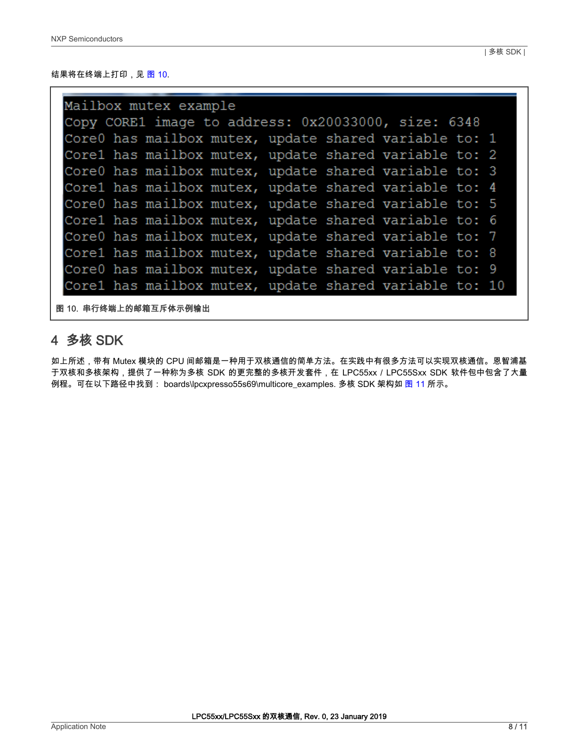#### <span id="page-7-0"></span>结果将在终端上打印,见 图 10.

| Mailbox mutex example                               |  |  |  |  |  |                                                        |  |  |  |  |
|-----------------------------------------------------|--|--|--|--|--|--------------------------------------------------------|--|--|--|--|
| Copy CORE1 image to address: 0x20033000, size: 6348 |  |  |  |  |  |                                                        |  |  |  |  |
|                                                     |  |  |  |  |  | Core0 has mailbox mutex, update shared variable to: 1  |  |  |  |  |
|                                                     |  |  |  |  |  | Corel has mailbox mutex, update shared variable to: 2  |  |  |  |  |
|                                                     |  |  |  |  |  | Core0 has mailbox mutex, update shared variable to: 3  |  |  |  |  |
|                                                     |  |  |  |  |  | Corel has mailbox mutex, update shared variable to: 4  |  |  |  |  |
|                                                     |  |  |  |  |  | Core0 has mailbox mutex, update shared variable to: 5  |  |  |  |  |
|                                                     |  |  |  |  |  | Corel has mailbox mutex, update shared variable to: 6  |  |  |  |  |
|                                                     |  |  |  |  |  | Core0 has mailbox mutex, update shared variable to: 7  |  |  |  |  |
|                                                     |  |  |  |  |  | Corel has mailbox mutex, update shared variable to: 8  |  |  |  |  |
|                                                     |  |  |  |  |  | Core0 has mailbox mutex, update shared variable to: 9  |  |  |  |  |
|                                                     |  |  |  |  |  | Corel has mailbox mutex, update shared variable to: 10 |  |  |  |  |

图 10. 串行终端上的邮箱互斥体示例输出

## 4 多核 SDK

如上所述,带有 Mutex 模块的 CPU 间邮箱是一种用于双核通信的简单方法。在实践中有很多方法可以实现双核通信。恩智浦基 于双核和多核架构,提供了一种称为多核 SDK 的更完整的多核开发套件,在 LPC55xx / LPC55Sxx SDK 软件包中包含了大量 例程。可在以下路径中找到: boards\lpcxpresso55s69\multicore\_examples. 多核 SDK 架构如 [图 11](#page-8-0) 所示。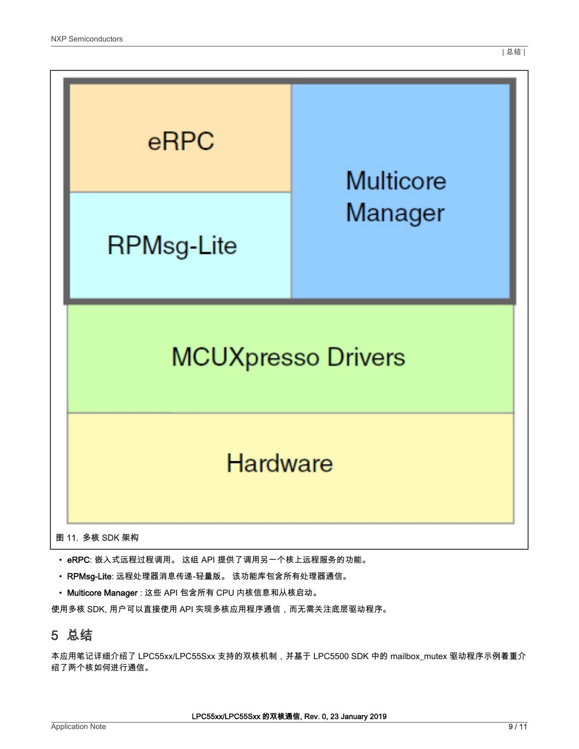<span id="page-8-0"></span>

- eRPC: 嵌入式远程过程调用。 这组 API 提供了调用另一个核上远程服务的功能。
- RPMsg-Lite: 远程处理器消息传递-轻量版。 该功能库包含所有处理器通信。
- Multicore Manager : 这些 API 包含所有 CPU 内核信息和从核启动。

使用多核 SDK, 用户可以直接使用 API 实现多核应用程序通信,而无需关注底层驱动程序。

### 5 总结

本应用笔记详细介绍了 LPC55xx/LPC55Sxx 支持的双核机制,并基于 LPC5500 SDK 中的 mailbox\_mutex 驱动程序示例着重介 绍了两个核如何进行通信。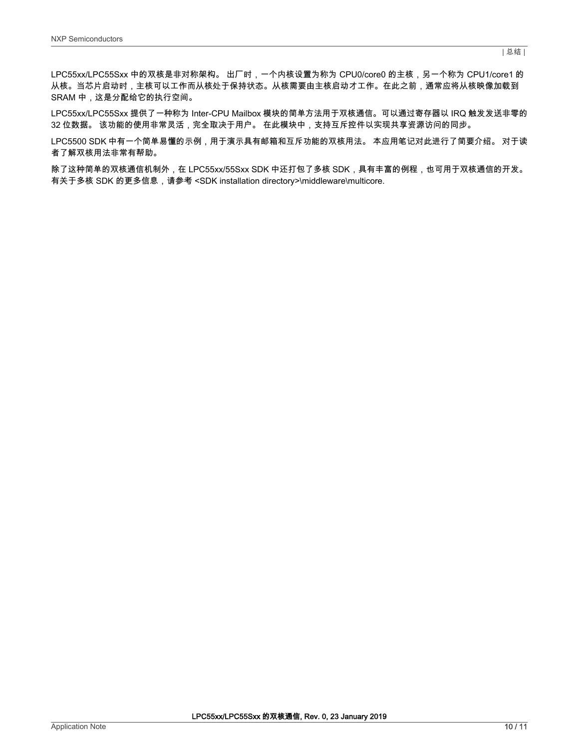LPC55xx/LPC55Sxx 中的双核是非对称架构。 出厂时,一个内核设置为称为 CPU0/core0 的主核,另一个称为 CPU1/core1 的 从核。当芯片启动时,主核可以工作而从核处于保持状态。从核需要由主核启动才工作。在此之前,通常应将从核映像加载到 SRAM 中,这是分配给它的执行空间。

LPC55xx/LPC55Sxx 提供了一种称为 Inter-CPU Mailbox 模块的简单方法用于双核通信。可以通过寄存器以 IRQ 触发发送非零的 32 位数据。 该功能的使用非常灵活,完全取决于用户。 在此模块中,支持互斥控件以实现共享资源访问的同步。

LPC5500 SDK 中有一个简单易懂的示例,用于演示具有邮箱和互斥功能的双核用法。 本应用笔记对此进行了简要介绍。 对于读 者了解双核用法非常有帮助。

除了这种简单的双核通信机制外,在 LPC55xx/55Sxx SDK 中还打包了多核 SDK,具有丰富的例程,也可用于双核通信的开发。 有关于多核 SDK 的更多信息,请参考 <SDK installation directory>\middleware\multicore.